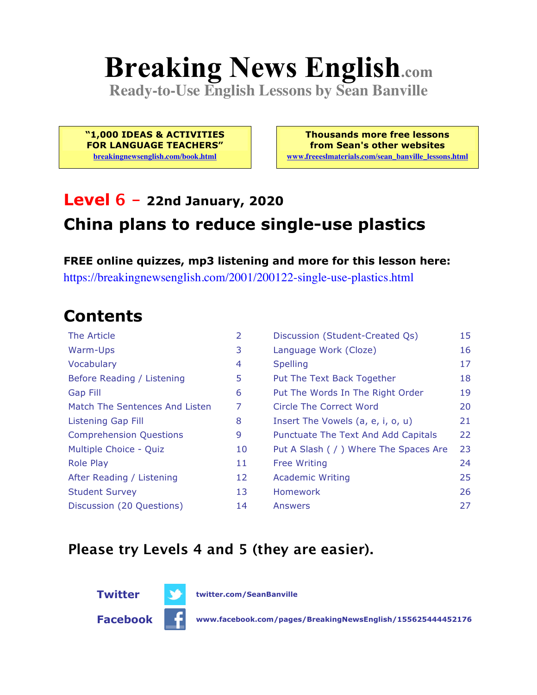# **Breaking News English.com**

**Ready-to-Use English Lessons by Sean Banville**

**"1,000 IDEAS & ACTIVITIES FOR LANGUAGE TEACHERS" breakingnewsenglish.com/book.html**

**Thousands more free lessons from Sean's other websites www.freeeslmaterials.com/sean\_banville\_lessons.html**

## **Level 6 - 22nd January, 2020 China plans to reduce single-use plastics**

**FREE online quizzes, mp3 listening and more for this lesson here:** https://breakingnewsenglish.com/2001/200122-single-use-plastics.html

### **Contents**

| The Article                    | 2  | Discussion (Student-Created Qs)        | 15 |
|--------------------------------|----|----------------------------------------|----|
| Warm-Ups                       | 3  | Language Work (Cloze)                  | 16 |
| Vocabulary                     | 4  | <b>Spelling</b>                        | 17 |
| Before Reading / Listening     | 5  | Put The Text Back Together             | 18 |
| <b>Gap Fill</b>                | 6  | Put The Words In The Right Order       | 19 |
| Match The Sentences And Listen | 7  | Circle The Correct Word                | 20 |
| Listening Gap Fill             | 8  | Insert The Vowels (a, e, i, o, u)      | 21 |
| <b>Comprehension Questions</b> | 9  | Punctuate The Text And Add Capitals    | 22 |
| Multiple Choice - Quiz         | 10 | Put A Slash ( / ) Where The Spaces Are | 23 |
| <b>Role Play</b>               | 11 | <b>Free Writing</b>                    | 24 |
| After Reading / Listening      | 12 | <b>Academic Writing</b>                | 25 |
| <b>Student Survey</b>          | 13 | Homework                               | 26 |
| Discussion (20 Questions)      | 14 | Answers                                | 27 |

### **Please try Levels 4 and 5 (they are easier).**



**Facebook www.facebook.com/pages/BreakingNewsEnglish/155625444452176**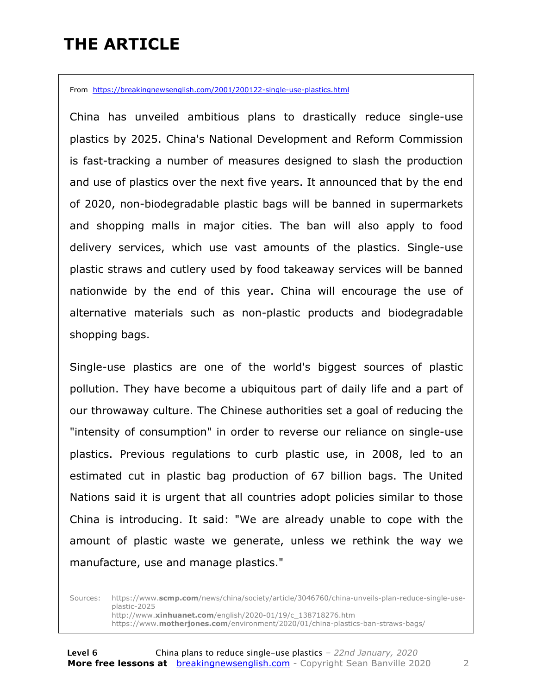## **THE ARTICLE**

From https://breakingnewsenglish.com/2001/200122-single-use-plastics.html

China has unveiled ambitious plans to drastically reduce single-use plastics by 2025. China's National Development and Reform Commission is fast-tracking a number of measures designed to slash the production and use of plastics over the next five years. It announced that by the end of 2020, non-biodegradable plastic bags will be banned in supermarkets and shopping malls in major cities. The ban will also apply to food delivery services, which use vast amounts of the plastics. Single-use plastic straws and cutlery used by food takeaway services will be banned nationwide by the end of this year. China will encourage the use of alternative materials such as non-plastic products and biodegradable shopping bags.

Single-use plastics are one of the world's biggest sources of plastic pollution. They have become a ubiquitous part of daily life and a part of our throwaway culture. The Chinese authorities set a goal of reducing the "intensity of consumption" in order to reverse our reliance on single-use plastics. Previous regulations to curb plastic use, in 2008, led to an estimated cut in plastic bag production of 67 billion bags. The United Nations said it is urgent that all countries adopt policies similar to those China is introducing. It said: "We are already unable to cope with the amount of plastic waste we generate, unless we rethink the way we manufacture, use and manage plastics."

Sources: https://www.**scmp.com**/news/china/society/article/3046760/china-unveils-plan-reduce-single-useplastic-2025 http://www.**xinhuanet.com**/english/2020-01/19/c\_138718276.htm https://www.**motherjones.com**/environment/2020/01/china-plastics-ban-straws-bags/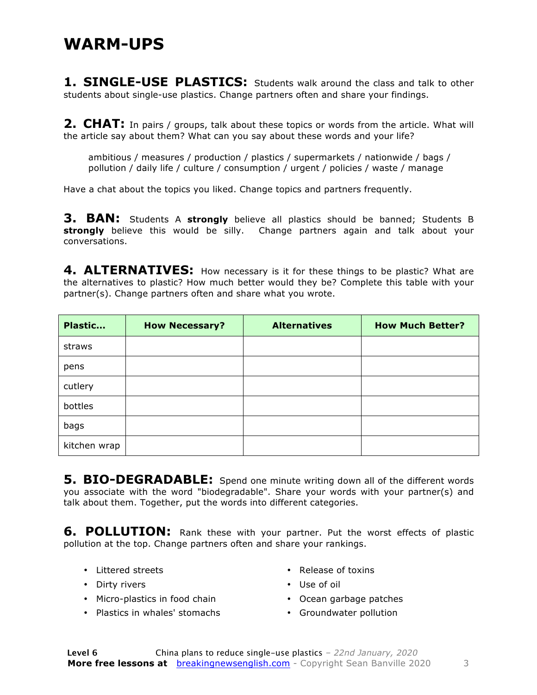**1. SINGLE-USE PLASTICS:** Students walk around the class and talk to other students about single-use plastics. Change partners often and share your findings.

**2. CHAT:** In pairs / groups, talk about these topics or words from the article. What will the article say about them? What can you say about these words and your life?

ambitious / measures / production / plastics / supermarkets / nationwide / bags / pollution / daily life / culture / consumption / urgent / policies / waste / manage

Have a chat about the topics you liked. Change topics and partners frequently.

**3. BAN:** Students A **strongly** believe all plastics should be banned; Students B **strongly** believe this would be silly. Change partners again and talk about your conversations.

4. ALTERNATIVES: How necessary is it for these things to be plastic? What are the alternatives to plastic? How much better would they be? Complete this table with your partner(s). Change partners often and share what you wrote.

| Plastic      | <b>How Necessary?</b> | <b>Alternatives</b> | <b>How Much Better?</b> |
|--------------|-----------------------|---------------------|-------------------------|
| straws       |                       |                     |                         |
| pens         |                       |                     |                         |
| cutlery      |                       |                     |                         |
| bottles      |                       |                     |                         |
| bags         |                       |                     |                         |
| kitchen wrap |                       |                     |                         |

**5. BIO-DEGRADABLE:** Spend one minute writing down all of the different words you associate with the word "biodegradable". Share your words with your partner(s) and talk about them. Together, put the words into different categories.

**6. POLLUTION:** Rank these with your partner. Put the worst effects of plastic pollution at the top. Change partners often and share your rankings.

• Littered streets

• Release of toxins

• Dirty rivers

- Use of oil
- Micro-plastics in food chain
- Plastics in whales' stomachs
- Ocean garbage patches
- Groundwater pollution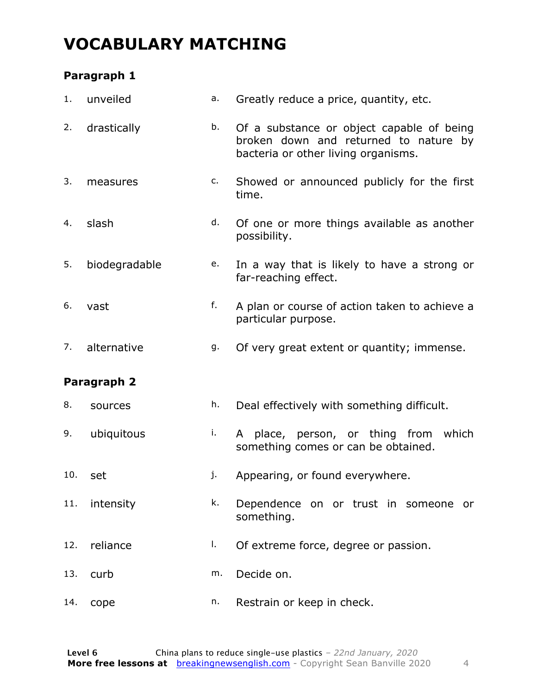### **VOCABULARY MATCHING**

### **Paragraph 1**

| 1.  | unveiled      | a. | Greatly reduce a price, quantity, etc.                                                                                    |
|-----|---------------|----|---------------------------------------------------------------------------------------------------------------------------|
| 2.  | drastically   | b. | Of a substance or object capable of being<br>broken down and returned to nature by<br>bacteria or other living organisms. |
| 3.  | measures      | c. | Showed or announced publicly for the first<br>time.                                                                       |
| 4.  | slash         | d. | Of one or more things available as another<br>possibility.                                                                |
| 5.  | biodegradable | e. | In a way that is likely to have a strong or<br>far-reaching effect.                                                       |
| 6.  | vast          | f. | A plan or course of action taken to achieve a<br>particular purpose.                                                      |
| 7.  | alternative   | g. | Of very great extent or quantity; immense.                                                                                |
|     | Paragraph 2   |    |                                                                                                                           |
| 8.  | sources       | h. | Deal effectively with something difficult.                                                                                |
| 9.  | ubiquitous    | i. | A place, person, or thing from<br>which<br>something comes or can be obtained.                                            |
| 10. | set           | j. | Appearing, or found everywhere.                                                                                           |
| 11. | intensity     | k. | Dependence on or trust in someone or<br>something.                                                                        |
| 12. | reliance      | I. | Of extreme force, degree or passion.                                                                                      |
| 13. | curb          | m. | Decide on.                                                                                                                |
|     |               |    |                                                                                                                           |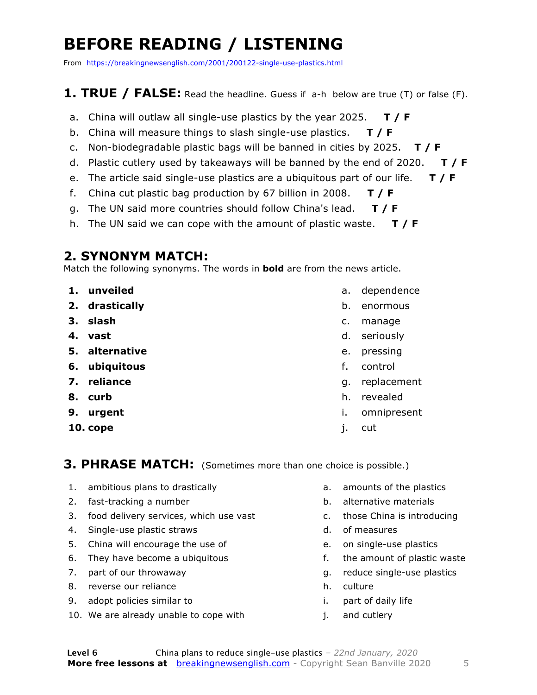## **BEFORE READING / LISTENING**

From https://breakingnewsenglish.com/2001/200122-single-use-plastics.html

### **1. TRUE / FALSE:** Read the headline. Guess if a-h below are true (T) or false (F).

- a. China will outlaw all single-use plastics by the year 2025. **T / F**
- b. China will measure things to slash single-use plastics. **T / F**
- c. Non-biodegradable plastic bags will be banned in cities by 2025. **T / F**
- d. Plastic cutlery used by takeaways will be banned by the end of 2020. **T / F**
- e. The article said single-use plastics are a ubiquitous part of our life. **T / F**
- f. China cut plastic bag production by 67 billion in 2008. **T / F**
- g. The UN said more countries should follow China's lead. **T / F**
- h. The UN said we can cope with the amount of plastic waste. **T / F**

### **2. SYNONYM MATCH:**

Match the following synonyms. The words in **bold** are from the news article.

- **1. unveiled**
- **2. drastically**
- **3. slash**
- **4. vast**
- **5. alternative**
- **6. ubiquitous**
- **7. reliance**
- **8. curb**
- **9. urgent**
- **10. cope**
- a. dependence
- b. enormous
- c. manage
- d. seriously
- e. pressing
- f. control
- g. replacement
- h. revealed
- i. omnipresent
- j. cut

**3. PHRASE MATCH:** (Sometimes more than one choice is possible.)

- 1. ambitious plans to drastically
- 2. fast-tracking a number
- 3. food delivery services, which use vast
- 4. Single-use plastic straws
- 5. China will encourage the use of
- 6. They have become a ubiquitous
- 7. part of our throwaway
- 8. reverse our reliance
- 9. adopt policies similar to
- 10. We are already unable to cope with
- a. amounts of the plastics
- b. alternative materials
- c. those China is introducing
- d. of measures
- e. on single-use plastics
- f. the amount of plastic waste
- g. reduce single-use plastics
- h. culture
- i. part of daily life
- j. and cutlery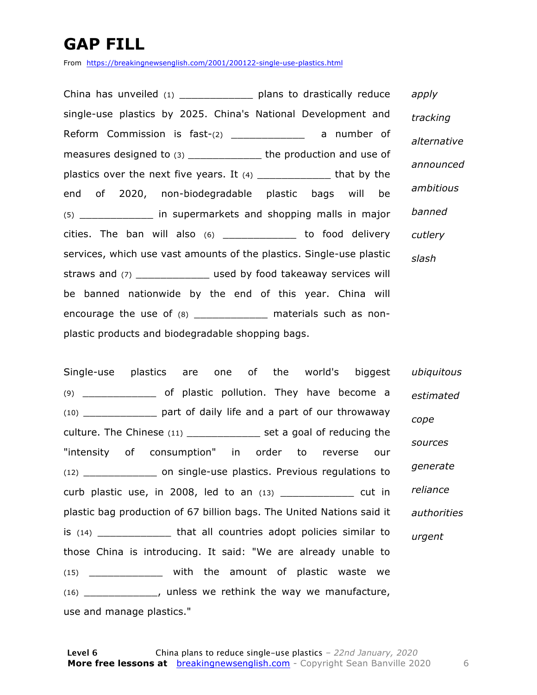## **GAP FILL**

From https://breakingnewsenglish.com/2001/200122-single-use-plastics.html

China has unveiled (1) \_\_\_\_\_\_\_\_\_\_\_\_\_\_\_\_ plans to drastically reduce single-use plastics by 2025. China's National Development and Reform Commission is fast-(2) \_\_\_\_\_\_\_\_\_\_\_\_\_\_\_ a number of measures designed to (3) \_\_\_\_\_\_\_\_\_\_\_\_\_\_\_\_\_ the production and use of plastics over the next five years. It  $(4)$  \_\_\_\_\_\_\_\_\_\_\_\_ that by the end of 2020, non-biodegradable plastic bags will be (5) \_\_\_\_\_\_\_\_\_\_\_\_ in supermarkets and shopping malls in major cities. The ban will also (6) \_\_\_\_\_\_\_\_\_\_\_\_ to food delivery services, which use vast amounts of the plastics. Single-use plastic straws and (7) \_\_\_\_\_\_\_\_\_\_\_\_\_\_ used by food takeaway services will be banned nationwide by the end of this year. China will encourage the use of (8) \_\_\_\_\_\_\_\_\_\_\_\_\_ materials such as nonplastic products and biodegradable shopping bags. *apply tracking alternative announced ambitious banned cutlery slash*

Single-use plastics are one of the world's biggest (9) \_\_\_\_\_\_\_\_\_\_\_\_ of plastic pollution. They have become a (10) \_\_\_\_\_\_\_\_\_\_\_\_ part of daily life and a part of our throwaway culture. The Chinese (11) example 10 set a goal of reducing the "intensity of consumption" in order to reverse our (12) \_\_\_\_\_\_\_\_\_\_\_\_ on single-use plastics. Previous regulations to curb plastic use, in 2008, led to an (13) \_\_\_\_\_\_\_\_\_\_\_\_ cut in plastic bag production of 67 billion bags. The United Nations said it is (14) **that all countries adopt policies similar to** those China is introducing. It said: "We are already unable to (15) \_\_\_\_\_\_\_\_\_\_\_\_ with the amount of plastic waste we (16) \_\_\_\_\_\_\_\_\_\_\_\_, unless we rethink the way we manufacture, use and manage plastics." *ubiquitous estimated cope sources generate reliance authorities urgent*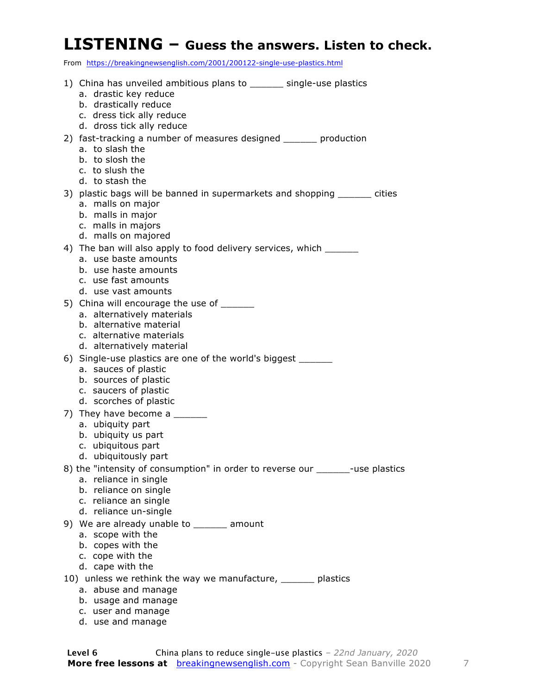### **LISTENING – Guess the answers. Listen to check.**

From https://breakingnewsenglish.com/2001/200122-single-use-plastics.html

| 1) China has unveiled ambitious plans to ______ single-use plastics<br>a. drastic key reduce   |
|------------------------------------------------------------------------------------------------|
| b. drastically reduce                                                                          |
| c. dress tick ally reduce<br>d. dross tick ally reduce                                         |
| 2) fast-tracking a number of measures designed ______ production                               |
| a. to slash the                                                                                |
| b. to slosh the                                                                                |
| c. to slush the                                                                                |
| d. to stash the                                                                                |
| 3) plastic bags will be banned in supermarkets and shopping ______ cities<br>a. malls on major |
| b. malls in major                                                                              |
| c. malls in majors                                                                             |
| d. malls on majored                                                                            |
| 4) The ban will also apply to food delivery services, which _______                            |
| a. use baste amounts<br>b. use haste amounts                                                   |
| c. use fast amounts                                                                            |
| d. use vast amounts                                                                            |
| 5) China will encourage the use of ______                                                      |
| a. alternatively materials                                                                     |
| b. alternative material                                                                        |
| c. alternative materials<br>d. alternatively material                                          |
| 6) Single-use plastics are one of the world's biggest ______                                   |
| a. sauces of plastic                                                                           |
| b. sources of plastic                                                                          |
| c. saucers of plastic                                                                          |
| d. scorches of plastic                                                                         |
| 7) They have become a ______                                                                   |
| a. ubiquity part<br>b. ubiquity us part                                                        |
| c. ubiquitous part                                                                             |
| d. ubiquitously part                                                                           |
| 8) the "intensity of consumption" in order to reverse our ______-use plastics                  |
| a. reliance in single                                                                          |
| b. reliance on single<br>c. reliance an single                                                 |
| d. reliance un-single                                                                          |
| 9) We are already unable to _______ amount                                                     |
| a. scope with the                                                                              |
| b. copes with the                                                                              |
| c. cope with the                                                                               |
| d. cape with the                                                                               |
| 10) unless we rethink the way we manufacture, ______ plastics                                  |
| a. abuse and manage<br>b. usage and manage                                                     |
|                                                                                                |

 c. user and manage d. use and manage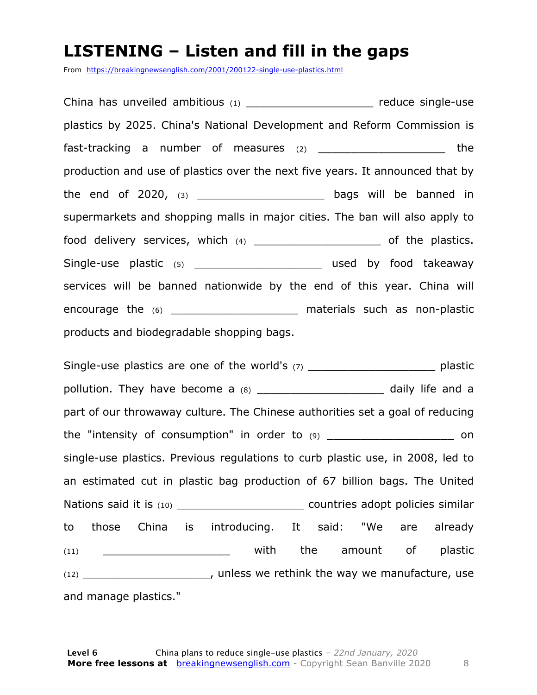### **LISTENING – Listen and fill in the gaps**

From https://breakingnewsenglish.com/2001/200122-single-use-plastics.html

China has unveiled ambitious (1) \_\_\_\_\_\_\_\_\_\_\_\_\_\_\_\_\_\_\_\_\_\_\_ reduce single-use plastics by 2025. China's National Development and Reform Commission is fast-tracking a number of measures  $(2)$  \_\_\_\_\_\_\_\_\_\_\_\_\_\_\_\_\_\_\_\_\_\_ the production and use of plastics over the next five years. It announced that by the end of 2020, (3) \_\_\_\_\_\_\_\_\_\_\_\_\_\_\_\_\_\_\_ bags will be banned in supermarkets and shopping malls in major cities. The ban will also apply to food delivery services, which (4) \_\_\_\_\_\_\_\_\_\_\_\_\_\_\_\_\_\_\_\_\_\_\_\_\_\_ of the plastics. Single-use plastic (5) \_\_\_\_\_\_\_\_\_\_\_\_\_\_\_\_\_\_\_\_\_\_\_\_\_ used by food takeaway services will be banned nationwide by the end of this year. China will encourage the (6) \_\_\_\_\_\_\_\_\_\_\_\_\_\_\_\_\_\_\_\_\_\_\_\_\_\_\_ materials such as non-plastic products and biodegradable shopping bags.

Single-use plastics are one of the world's (7) \_\_\_\_\_\_\_\_\_\_\_\_\_\_\_\_\_\_\_\_\_\_\_\_\_\_\_ plastic pollution. They have become a (8) \_\_\_\_\_\_\_\_\_\_\_\_\_\_\_\_\_\_\_\_\_\_ daily life and a part of our throwaway culture. The Chinese authorities set a goal of reducing the "intensity of consumption" in order to  $(9)$  on single-use plastics. Previous regulations to curb plastic use, in 2008, led to an estimated cut in plastic bag production of 67 billion bags. The United Nations said it is (10) \_\_\_\_\_\_\_\_\_\_\_\_\_\_\_\_\_\_\_ countries adopt policies similar to those China is introducing. It said: "We are already (11) \_\_\_\_\_\_\_\_\_\_\_\_\_\_\_\_\_\_\_\_\_\_\_\_\_\_ with the amount of plastic (12) \_\_\_\_\_\_\_\_\_\_\_\_\_\_\_\_\_\_\_, unless we rethink the way we manufacture, use and manage plastics."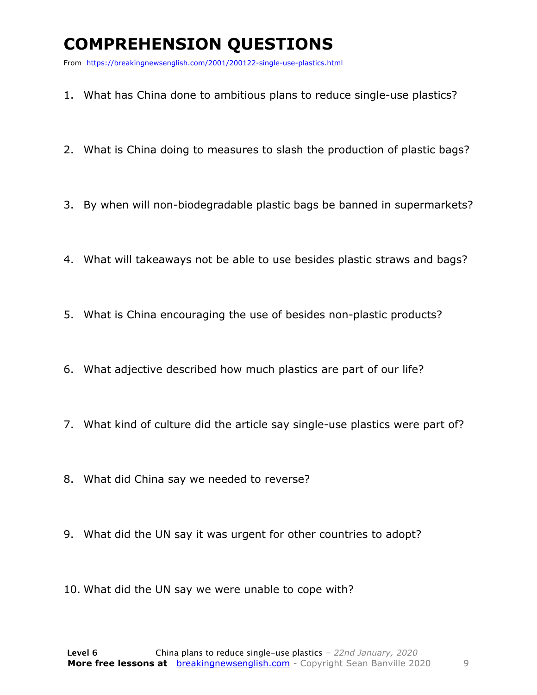## **COMPREHENSION QUESTIONS**

From https://breakingnewsenglish.com/2001/200122-single-use-plastics.html

- 1. What has China done to ambitious plans to reduce single-use plastics?
- 2. What is China doing to measures to slash the production of plastic bags?
- 3. By when will non-biodegradable plastic bags be banned in supermarkets?
- 4. What will takeaways not be able to use besides plastic straws and bags?
- 5. What is China encouraging the use of besides non-plastic products?
- 6. What adjective described how much plastics are part of our life?
- 7. What kind of culture did the article say single-use plastics were part of?
- 8. What did China say we needed to reverse?
- 9. What did the UN say it was urgent for other countries to adopt?
- 10. What did the UN say we were unable to cope with?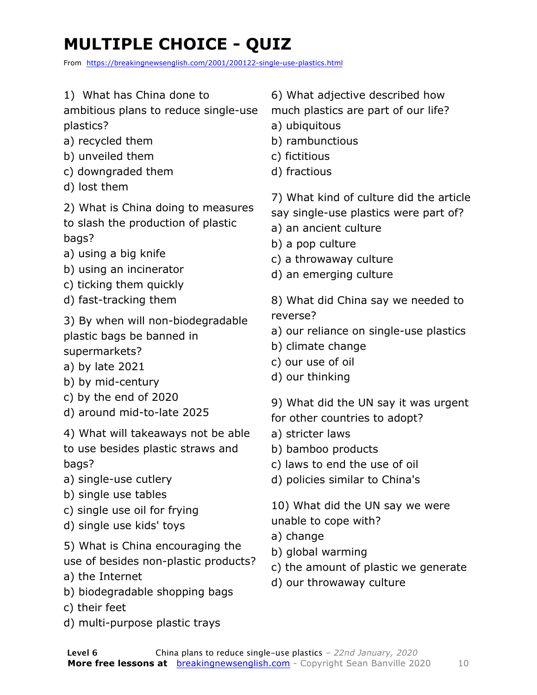## **MULTIPLE CHOICE - QUIZ**

From https://breakingnewsenglish.com/2001/200122-single-use-plastics.html

- 1) What has China done to
- ambitious plans to reduce single-use plastics?
- a) recycled them
- b) unveiled them
- c) downgraded them
- d) lost them
- 2) What is China doing to measures to slash the production of plastic bags?
- a) using a big knife
- b) using an incinerator
- c) ticking them quickly
- d) fast-tracking them
- 3) By when will non-biodegradable plastic bags be banned in supermarkets?
- a) by late 2021
- b) by mid-century
- c) by the end of 2020
- d) around mid-to-late 2025
- 4) What will takeaways not be able to use besides plastic straws and
- bags?
- a) single-use cutlery
- b) single use tables
- c) single use oil for frying
- d) single use kids' toys
- 5) What is China encouraging the
- use of besides non-plastic products?
- a) the Internet
- b) biodegradable shopping bags
- c) their feet
- d) multi-purpose plastic trays
- 6) What adjective described how
- much plastics are part of our life?
- a) ubiquitous
- b) rambunctious
- c) fictitious
- d) fractious
- 7) What kind of culture did the article say single-use plastics were part of?
- a) an ancient culture
- b) a pop culture
- c) a throwaway culture
- d) an emerging culture
- 8) What did China say we needed to reverse?
- a) our reliance on single-use plastics
- b) climate change
- c) our use of oil
- d) our thinking
- 9) What did the UN say it was urgent
- for other countries to adopt?
- a) stricter laws
- b) bamboo products
- c) laws to end the use of oil
- d) policies similar to China's
- 10) What did the UN say we were unable to cope with?
- a) change
- b) global warming
- c) the amount of plastic we generate
- d) our throwaway culture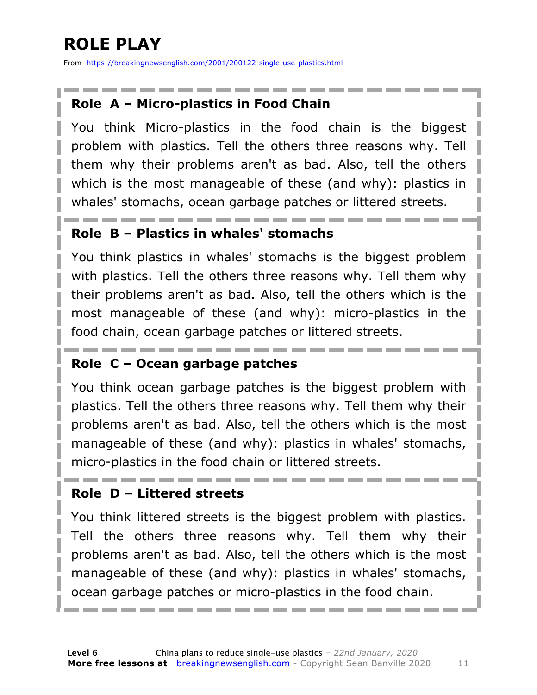## **ROLE PLAY**

From https://breakingnewsenglish.com/2001/200122-single-use-plastics.html

### **Role A – Micro-plastics in Food Chain**

You think Micro-plastics in the food chain is the biggest problem with plastics. Tell the others three reasons why. Tell them why their problems aren't as bad. Also, tell the others which is the most manageable of these (and why): plastics in whales' stomachs, ocean garbage patches or littered streets.

### **Role B – Plastics in whales' stomachs**

You think plastics in whales' stomachs is the biggest problem with plastics. Tell the others three reasons why. Tell them why their problems aren't as bad. Also, tell the others which is the most manageable of these (and why): micro-plastics in the food chain, ocean garbage patches or littered streets.

### **Role C – Ocean garbage patches**

You think ocean garbage patches is the biggest problem with plastics. Tell the others three reasons why. Tell them why their problems aren't as bad. Also, tell the others which is the most manageable of these (and why): plastics in whales' stomachs, micro-plastics in the food chain or littered streets.

### **Role D – Littered streets**

You think littered streets is the biggest problem with plastics. Tell the others three reasons why. Tell them why their problems aren't as bad. Also, tell the others which is the most manageable of these (and why): plastics in whales' stomachs, ocean garbage patches or micro-plastics in the food chain.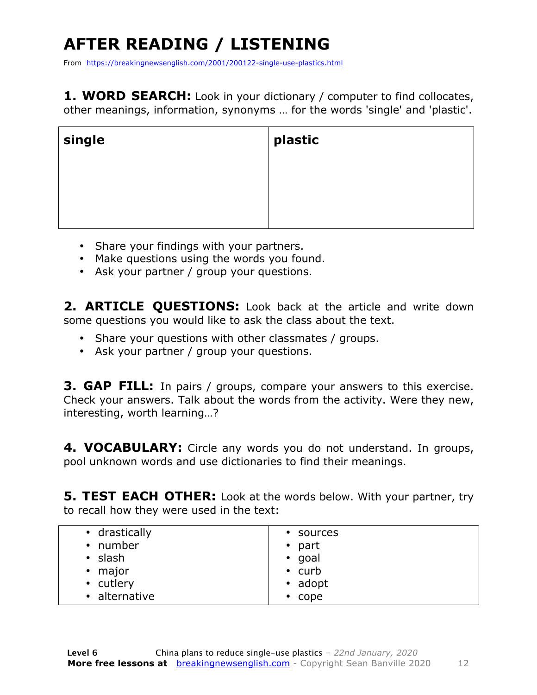## **AFTER READING / LISTENING**

From https://breakingnewsenglish.com/2001/200122-single-use-plastics.html

**1. WORD SEARCH:** Look in your dictionary / computer to find collocates, other meanings, information, synonyms … for the words 'single' and 'plastic'.

| single | plastic |
|--------|---------|
|        |         |
|        |         |

- Share your findings with your partners.
- Make questions using the words you found.
- Ask your partner / group your questions.

2. **ARTICLE OUESTIONS:** Look back at the article and write down some questions you would like to ask the class about the text.

- Share your questions with other classmates / groups.
- Ask your partner / group your questions.

**3. GAP FILL:** In pairs / groups, compare your answers to this exercise. Check your answers. Talk about the words from the activity. Were they new, interesting, worth learning…?

**4. VOCABULARY:** Circle any words you do not understand. In groups, pool unknown words and use dictionaries to find their meanings.

**5. TEST EACH OTHER:** Look at the words below. With your partner, try to recall how they were used in the text:

| • drastically | • sources      |
|---------------|----------------|
| • number      | $\bullet$ part |
| • slash       | $\cdot$ goal   |
| • major       | $\cdot$ curb   |
| • cutlery     | • adopt        |
| • alternative | $\cdot$ cope   |
|               |                |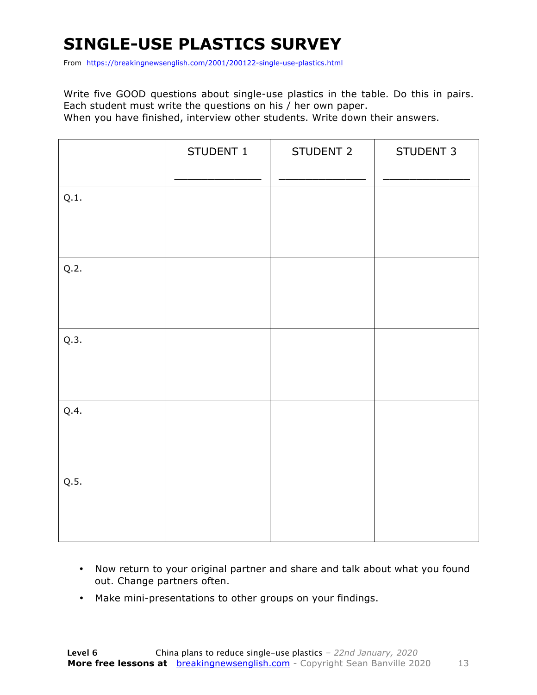## **SINGLE-USE PLASTICS SURVEY**

From https://breakingnewsenglish.com/2001/200122-single-use-plastics.html

Write five GOOD questions about single-use plastics in the table. Do this in pairs. Each student must write the questions on his / her own paper.

When you have finished, interview other students. Write down their answers.

|      | STUDENT 1 | STUDENT 2 | STUDENT 3 |
|------|-----------|-----------|-----------|
| Q.1. |           |           |           |
| Q.2. |           |           |           |
| Q.3. |           |           |           |
| Q.4. |           |           |           |
| Q.5. |           |           |           |

- Now return to your original partner and share and talk about what you found out. Change partners often.
- Make mini-presentations to other groups on your findings.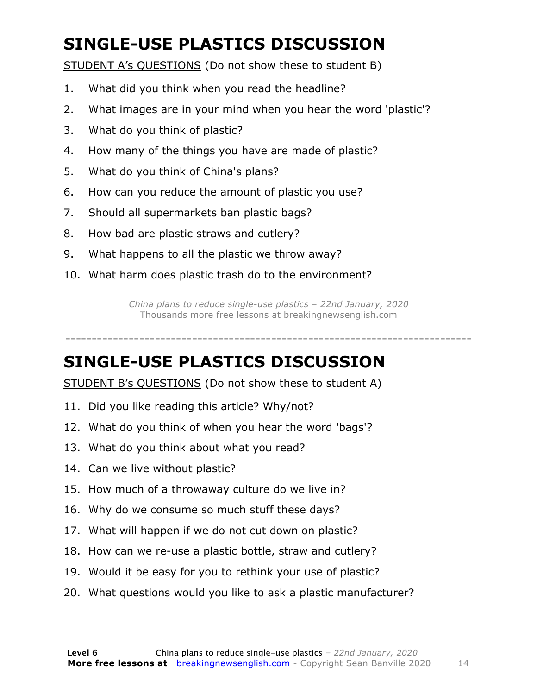## **SINGLE-USE PLASTICS DISCUSSION**

STUDENT A's QUESTIONS (Do not show these to student B)

- 1. What did you think when you read the headline?
- 2. What images are in your mind when you hear the word 'plastic'?
- 3. What do you think of plastic?
- 4. How many of the things you have are made of plastic?
- 5. What do you think of China's plans?
- 6. How can you reduce the amount of plastic you use?
- 7. Should all supermarkets ban plastic bags?
- 8. How bad are plastic straws and cutlery?
- 9. What happens to all the plastic we throw away?
- 10. What harm does plastic trash do to the environment?

*China plans to reduce single-use plastics – 22nd January, 2020* Thousands more free lessons at breakingnewsenglish.com

-----------------------------------------------------------------------------

### **SINGLE-USE PLASTICS DISCUSSION**

STUDENT B's QUESTIONS (Do not show these to student A)

- 11. Did you like reading this article? Why/not?
- 12. What do you think of when you hear the word 'bags'?
- 13. What do you think about what you read?
- 14. Can we live without plastic?
- 15. How much of a throwaway culture do we live in?
- 16. Why do we consume so much stuff these days?
- 17. What will happen if we do not cut down on plastic?
- 18. How can we re-use a plastic bottle, straw and cutlery?
- 19. Would it be easy for you to rethink your use of plastic?
- 20. What questions would you like to ask a plastic manufacturer?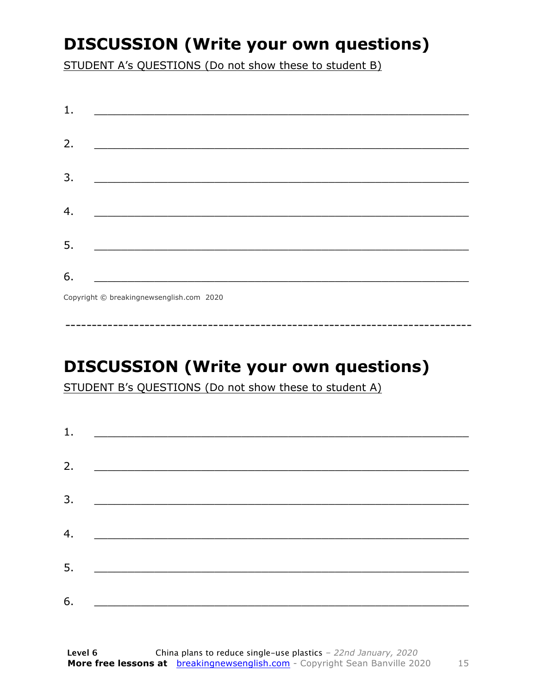## **DISCUSSION (Write your own questions)**

STUDENT A's QUESTIONS (Do not show these to student B)

| 1. |                                          |
|----|------------------------------------------|
|    |                                          |
| 2. |                                          |
|    |                                          |
| 3. |                                          |
|    |                                          |
| 4. |                                          |
|    |                                          |
| 5. |                                          |
|    |                                          |
| 6. |                                          |
|    | Copyright © breakingnewsenglish.com 2020 |

## **DISCUSSION (Write your own questions)**

STUDENT B's QUESTIONS (Do not show these to student A)

| 1. |                                                                                                                         |  |  |
|----|-------------------------------------------------------------------------------------------------------------------------|--|--|
| 2. |                                                                                                                         |  |  |
|    | <u> 1980 - Andrea Stationer, fransk politiker (d. 1980)</u>                                                             |  |  |
| 3. |                                                                                                                         |  |  |
|    |                                                                                                                         |  |  |
| 4. | <u> 1980 - Jan Samuel Barbara, margaret eta idazlea (h. 1980).</u>                                                      |  |  |
| 5. | <u> 1986 - Johann Stoff, deutscher Stoffen und der Stoffen und der Stoffen und der Stoffen und der Stoffen und der </u> |  |  |
| 6. |                                                                                                                         |  |  |
|    | <u> 1989 - Johann John Stone, market fan it ferskearre fan it ferskearre fan it ferskearre fan it ferskearre fan i</u>  |  |  |

15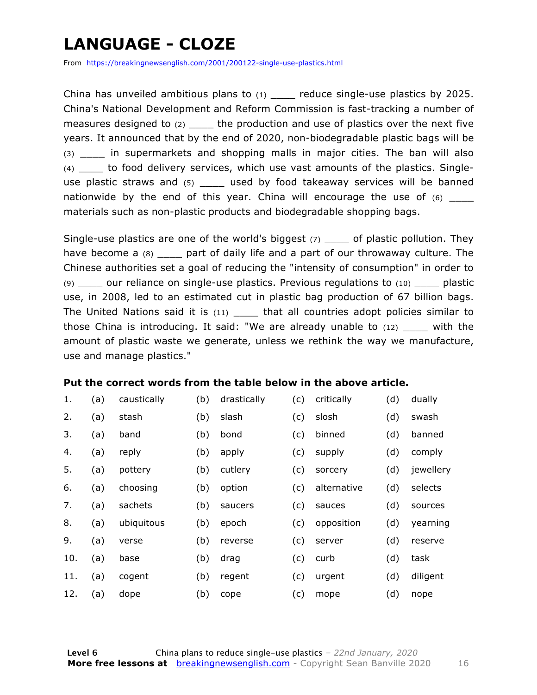## **LANGUAGE - CLOZE**

From https://breakingnewsenglish.com/2001/200122-single-use-plastics.html

China has unveiled ambitious plans to  $(1)$  reduce single-use plastics by 2025. China's National Development and Reform Commission is fast-tracking a number of measures designed to  $(2)$  the production and use of plastics over the next five years. It announced that by the end of 2020, non-biodegradable plastic bags will be (3) \_\_\_\_ in supermarkets and shopping malls in major cities. The ban will also (4) \_\_\_\_ to food delivery services, which use vast amounts of the plastics. Singleuse plastic straws and (5) a used by food takeaway services will be banned nationwide by the end of this year. China will encourage the use of  $(6)$ materials such as non-plastic products and biodegradable shopping bags.

Single-use plastics are one of the world's biggest  $(7)$  of plastic pollution. They have become a (8) have part of daily life and a part of our throwaway culture. The Chinese authorities set a goal of reducing the "intensity of consumption" in order to (9) \_\_\_\_ our reliance on single-use plastics. Previous regulations to (10) \_\_\_\_ plastic use, in 2008, led to an estimated cut in plastic bag production of 67 billion bags. The United Nations said it is (11) that all countries adopt policies similar to those China is introducing. It said: "We are already unable to  $(12)$  with the amount of plastic waste we generate, unless we rethink the way we manufacture, use and manage plastics."

#### **Put the correct words from the table below in the above article.**

| 1.  | (a) | caustically | (b) | drastically | (c) | critically  | (d) | dually    |
|-----|-----|-------------|-----|-------------|-----|-------------|-----|-----------|
| 2.  | (a) | stash       | (b) | slash       | (c) | slosh       | (d) | swash     |
| 3.  | (a) | band        | (b) | bond        | (c) | binned      | (d) | banned    |
| 4.  | (a) | reply       | (b) | apply       | (c) | supply      | (d) | comply    |
| 5.  | (a) | pottery     | (b) | cutlery     | (c) | sorcery     | (d) | jewellery |
| 6.  | (a) | choosing    | (b) | option      | (c) | alternative | (d) | selects   |
| 7.  | (a) | sachets     | (b) | saucers     | (c) | sauces      | (d) | sources   |
| 8.  | (a) | ubiquitous  | (b) | epoch       | (c) | opposition  | (d) | yearning  |
| 9.  | (a) | verse       | (b) | reverse     | (c) | server      | (d) | reserve   |
| 10. | (a) | base        | (b) | drag        | (c) | curb        | (d) | task      |
| 11. | (a) | cogent      | (b) | regent      | (c) | urgent      | (d) | diligent  |
| 12. | (a) | dope        | (b) | cope        | (c) | mope        | (d) | nope      |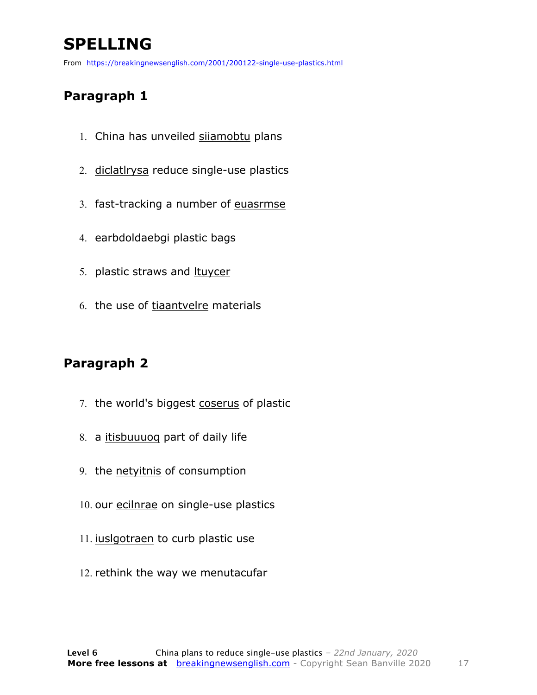## **SPELLING**

From https://breakingnewsenglish.com/2001/200122-single-use-plastics.html

### **Paragraph 1**

- 1. China has unveiled sijamobtu plans
- 2. diclatlrysa reduce single-use plastics
- 3. fast-tracking a number of euasrmse
- 4. earbdoldaebgi plastic bags
- 5. plastic straws and ltuycer
- 6. the use of tiaantvelre materials

### **Paragraph 2**

- 7. the world's biggest coserus of plastic
- 8. a itisbuuuoq part of daily life
- 9. the netyitnis of consumption
- 10. our ecilnrae on single-use plastics
- 11. iuslgotraen to curb plastic use
- 12. rethink the way we menutacufar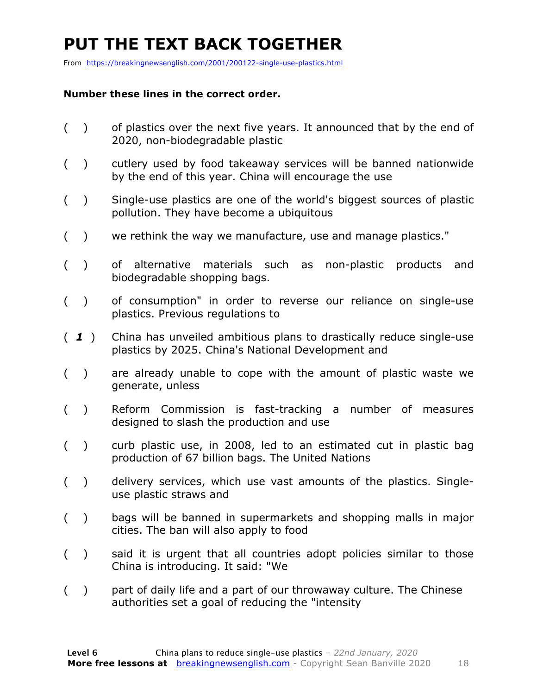## **PUT THE TEXT BACK TOGETHER**

From https://breakingnewsenglish.com/2001/200122-single-use-plastics.html

#### **Number these lines in the correct order.**

- ( ) of plastics over the next five years. It announced that by the end of 2020, non-biodegradable plastic
- ( ) cutlery used by food takeaway services will be banned nationwide by the end of this year. China will encourage the use
- ( ) Single-use plastics are one of the world's biggest sources of plastic pollution. They have become a ubiquitous
- ( ) we rethink the way we manufacture, use and manage plastics."
- ( ) of alternative materials such as non-plastic products and biodegradable shopping bags.
- ( ) of consumption" in order to reverse our reliance on single-use plastics. Previous regulations to
- ( *1* ) China has unveiled ambitious plans to drastically reduce single-use plastics by 2025. China's National Development and
- ( ) are already unable to cope with the amount of plastic waste we generate, unless
- ( ) Reform Commission is fast-tracking a number of measures designed to slash the production and use
- ( ) curb plastic use, in 2008, led to an estimated cut in plastic bag production of 67 billion bags. The United Nations
- ( ) delivery services, which use vast amounts of the plastics. Singleuse plastic straws and
- ( ) bags will be banned in supermarkets and shopping malls in major cities. The ban will also apply to food
- ( ) said it is urgent that all countries adopt policies similar to those China is introducing. It said: "We
- ( ) part of daily life and a part of our throwaway culture. The Chinese authorities set a goal of reducing the "intensity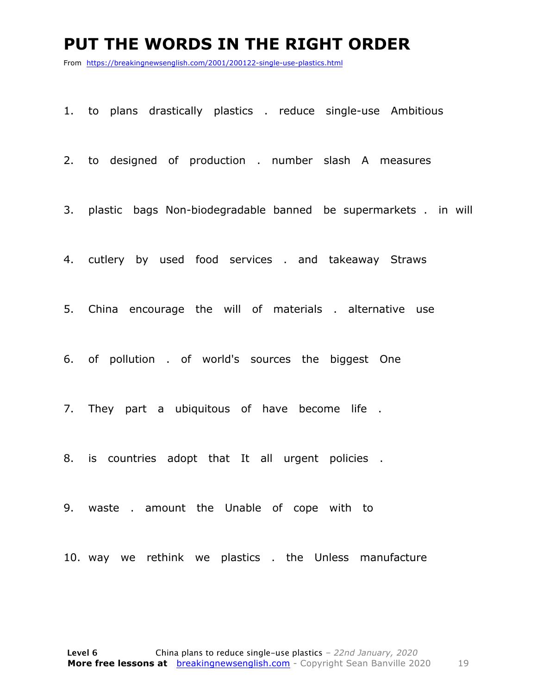### **PUT THE WORDS IN THE RIGHT ORDER**

From https://breakingnewsenglish.com/2001/200122-single-use-plastics.html

1. to plans drastically plastics . reduce single-use Ambitious

2. to designed of production . number slash A measures

3. plastic bags Non-biodegradable banned be supermarkets . in will

4. cutlery by used food services . and takeaway Straws

5. China encourage the will of materials . alternative use

6. of pollution . of world's sources the biggest One

7. They part a ubiquitous of have become life .

8. is countries adopt that It all urgent policies .

9. waste . amount the Unable of cope with to

10. way we rethink we plastics . the Unless manufacture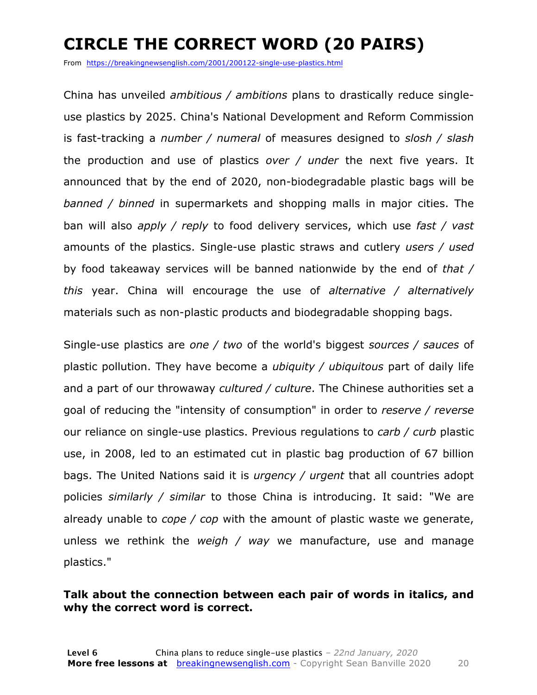## **CIRCLE THE CORRECT WORD (20 PAIRS)**

From https://breakingnewsenglish.com/2001/200122-single-use-plastics.html

China has unveiled *ambitious / ambitions* plans to drastically reduce singleuse plastics by 2025. China's National Development and Reform Commission is fast-tracking a *number / numeral* of measures designed to *slosh / slash* the production and use of plastics *over / under* the next five years. It announced that by the end of 2020, non-biodegradable plastic bags will be *banned / binned* in supermarkets and shopping malls in major cities. The ban will also *apply / reply* to food delivery services, which use *fast / vast* amounts of the plastics. Single-use plastic straws and cutlery *users / used* by food takeaway services will be banned nationwide by the end of *that / this* year. China will encourage the use of *alternative / alternatively* materials such as non-plastic products and biodegradable shopping bags.

Single-use plastics are *one / two* of the world's biggest *sources / sauces* of plastic pollution. They have become a *ubiquity / ubiquitous* part of daily life and a part of our throwaway *cultured / culture*. The Chinese authorities set a goal of reducing the "intensity of consumption" in order to *reserve / reverse* our reliance on single-use plastics. Previous regulations to *carb / curb* plastic use, in 2008, led to an estimated cut in plastic bag production of 67 billion bags. The United Nations said it is *urgency / urgent* that all countries adopt policies *similarly / similar* to those China is introducing. It said: "We are already unable to *cope / cop* with the amount of plastic waste we generate, unless we rethink the *weigh / way* we manufacture, use and manage plastics."

### **Talk about the connection between each pair of words in italics, and why the correct word is correct.**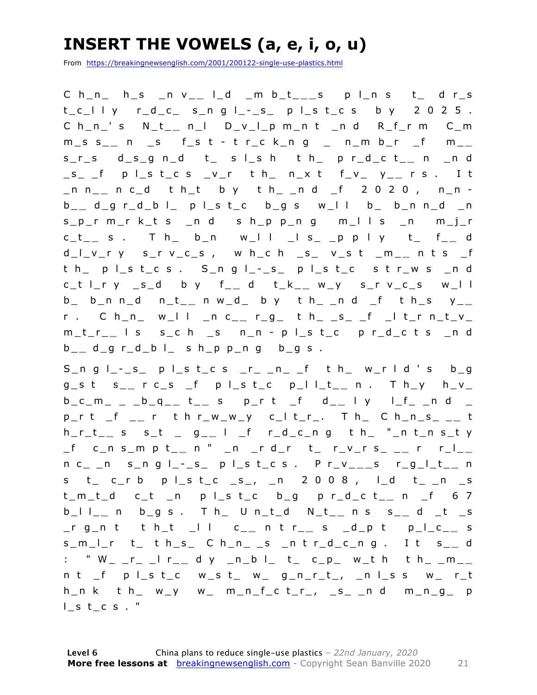## **INSERT THE VOWELS (a, e, i, o, u)**

From https://breakingnewsenglish.com/2001/200122-single-use-plastics.html

C h\_n\_ h\_s \_n v\_ **\_** l\_d \_m b\_t\_ **\_ \_** s p l\_n s t\_ d r\_s  $t_c = l \mid y$   $r_d_c = s_n g \mid -s \mid s \mid c \mid s$  by 2025. C h\_n\_' s N\_t\_ **\_** n\_l D\_v\_l\_p m\_n t \_n d R\_f\_r m C\_m m\_s s\_ **\_** n \_s f\_s t - t r\_c k\_n g \_ n\_m b\_r \_f m\_ **\_**  s\_r\_s d\_s\_g n\_d t\_ s l\_s h t h\_ p r\_d\_c t\_ **\_** n \_n d \_s\_ \_f p l\_s t\_c s \_v\_r t h\_ n\_x t f\_v\_ y\_ **\_** r s . I t \_n n\_ **\_** n c\_d t h\_t b y t h\_ \_n d \_f 2 0 2 0 , n\_n b \_ **\_** d\_g r\_d\_b l\_ p l\_s t\_c b\_g s w\_l l b\_ b\_n n\_d \_n s\_p\_r m\_r k\_t s \_n d s h\_p p\_n g m\_l l s \_n m\_j\_r c\_t\_ **\_** s . T h\_ b\_n w\_l l \_l s\_ \_p p l y t\_ f\_ **\_** d d\_l\_v\_r y s\_r v\_c\_s , w h\_c h \_s\_ v\_s t \_m\_ **\_** n t s \_f t h\_ p l\_s t\_c s . S\_n g l\_ - \_s\_ p l\_s t\_c s t r\_w s \_n d c\_t l\_r y \_s\_d b y f\_ **\_** d t\_k\_ **\_** w\_y s\_r v\_c\_s w\_l l  $b_$  b\_n n\_d n\_t\_\_ n w\_d\_ b y t h\_ \_n d \_f t h\_s y\_\_ r . C h\_n\_ w\_l l \_n c\_ **\_** r\_g\_ t h\_ \_s\_ \_f \_l t\_r n\_t\_v\_ m\_t\_r\_ **\_** l s s\_c h \_s n\_n - p l\_s t\_c p r\_d\_c t s \_n d b \_ **\_** d\_g r\_d\_b l\_ s h\_p p\_n g b\_g s .

 $S_n$ n g  $I_--s_$  p  $I_s$  t\_c s \_r\_ \_n\_ \_f t h\_ w\_r l d ' s b\_g g\_s t s\_ **\_** r c\_s \_f p l\_s t\_c p\_l l\_t\_ **\_** n . T h\_y h\_v\_ b\_c\_m\_ \_ \_b\_q\_ **\_** t \_ **\_** s p\_r t \_f d\_ **\_** l y l\_f\_ \_n d \_ p\_r t \_f \_ **\_** r t h r\_w\_w\_y c\_l t\_r\_. T h\_ C h\_n\_s\_ \_ **\_** t h\_r\_t\_ **\_** s s\_t \_ g\_ **\_** l \_f r\_d\_c\_n g t h\_ "\_n t\_n s\_t y \_f c\_n s\_m p t\_ **\_** n " \_n \_r d\_r t\_ r\_v\_r s\_ \_ **\_** r r\_l\_ **\_**  n c\_ \_n s\_n g l\_ - \_s\_ p l\_s t\_c s . P r\_v\_ **\_ \_** s r\_g\_l\_t\_ **\_** n s t\_ c\_r b p l\_s t\_c \_s\_, \_n 2 0 0 8 , l\_d t\_ \_n \_s t\_m\_t\_d c\_t \_n p l\_s t\_c b\_g p r\_d\_c t\_ **\_** n \_f 6 7 b\_l l\_ **\_** n b\_g s . T h\_ U n\_t\_d N\_t\_ **\_** n s s\_ **\_** d \_t \_s \_r g\_n t t h\_t \_l l c\_ **\_** n t r\_ **\_** s \_d\_p t p\_l\_c\_ **\_** s s\_m\_l\_r t\_ t h\_s\_ C h\_n\_ \_s \_n t r\_d\_c\_n g . I t s\_ **\_** d : " W\_ \_r\_ \_l r\_\_ d y \_n\_b l\_ t\_ c\_p\_ w\_t h t h\_ \_m\_\_ n t \_f p l\_s t\_c w\_s t\_ w\_ g\_n\_r\_t\_, \_n l\_s s w\_ r\_t  $h_n$  k t  $h_$  w\_y w\_ m\_n\_f\_c t\_r\_, \_s\_ \_n d m\_n\_g\_ p  $l$  st\_c s  $.$  "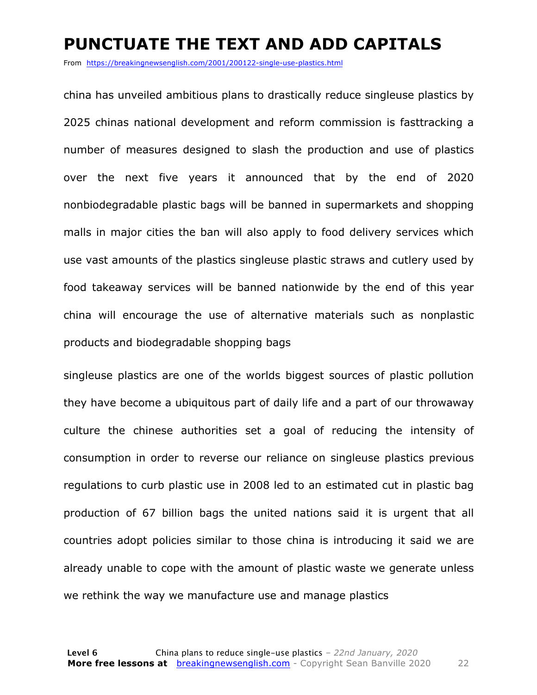### **PUNCTUATE THE TEXT AND ADD CAPITALS**

From https://breakingnewsenglish.com/2001/200122-single-use-plastics.html

china has unveiled ambitious plans to drastically reduce singleuse plastics by 2025 chinas national development and reform commission is fasttracking a number of measures designed to slash the production and use of plastics over the next five years it announced that by the end of 2020 nonbiodegradable plastic bags will be banned in supermarkets and shopping malls in major cities the ban will also apply to food delivery services which use vast amounts of the plastics singleuse plastic straws and cutlery used by food takeaway services will be banned nationwide by the end of this year china will encourage the use of alternative materials such as nonplastic products and biodegradable shopping bags

singleuse plastics are one of the worlds biggest sources of plastic pollution they have become a ubiquitous part of daily life and a part of our throwaway culture the chinese authorities set a goal of reducing the intensity of consumption in order to reverse our reliance on singleuse plastics previous regulations to curb plastic use in 2008 led to an estimated cut in plastic bag production of 67 billion bags the united nations said it is urgent that all countries adopt policies similar to those china is introducing it said we are already unable to cope with the amount of plastic waste we generate unless we rethink the way we manufacture use and manage plastics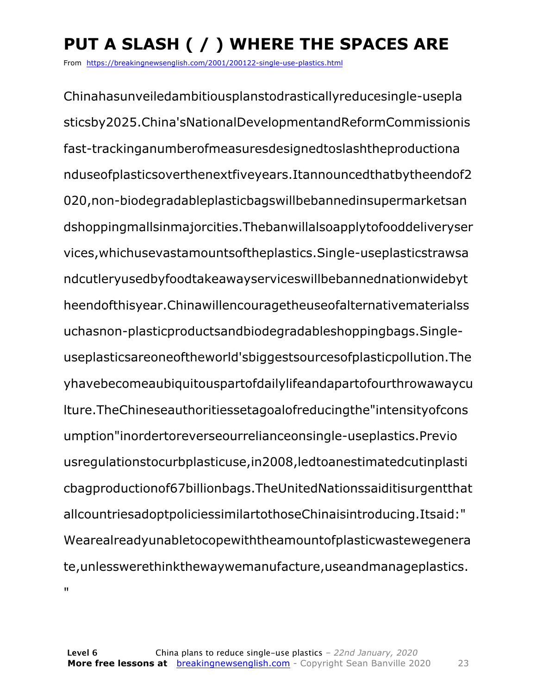## **PUT A SLASH ( / ) WHERE THE SPACES ARE**

From https://breakingnewsenglish.com/2001/200122-single-use-plastics.html

Chinahasunveiledambitiousplanstodrasticallyreducesingle-usepla sticsby2025.China'sNationalDevelopmentandReformCommissionis fast-trackinganumberofmeasuresdesignedtoslashtheproductiona nduseofplasticsoverthenextfiveyears.Itannouncedthatbytheendof2 020,non-biodegradableplasticbagswillbebannedinsupermarketsan dshoppingmallsinmajorcities.Thebanwillalsoapplytofooddeliveryser vices,whichusevastamountsoftheplastics.Single-useplasticstrawsa ndcutleryusedbyfoodtakeawayserviceswillbebannednationwidebyt heendofthisyear.Chinawillencouragetheuseofalternativematerialss uchasnon-plasticproductsandbiodegradableshoppingbags.Singleuseplasticsareoneoftheworld'sbiggestsourcesofplasticpollution.The yhavebecomeaubiquitouspartofdailylifeandapartofourthrowawaycu lture.TheChineseauthoritiessetagoalofreducingthe"intensityofcons umption"inordertoreverseourrelianceonsingle-useplastics.Previo usregulationstocurbplasticuse,in2008,ledtoanestimatedcutinplasti cbagproductionof67billionbags.TheUnitedNationssaiditisurgentthat allcountriesadoptpoliciessimilartothoseChinaisintroducing.Itsaid:" Wearealreadyunabletocopewiththeamountofplasticwastewegenera te,unlesswerethinkthewaywemanufacture,useandmanageplastics. n.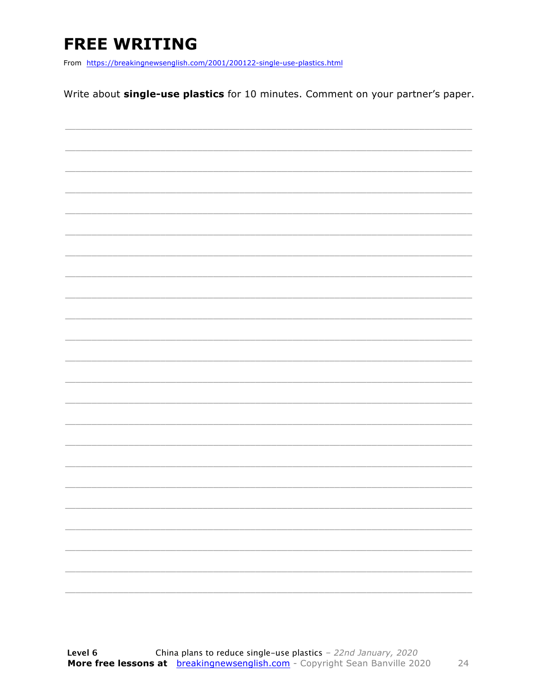## **FREE WRITING**

From https://breakingnewsenglish.com/2001/200122-single-use-plastics.html

Write about single-use plastics for 10 minutes. Comment on your partner's paper.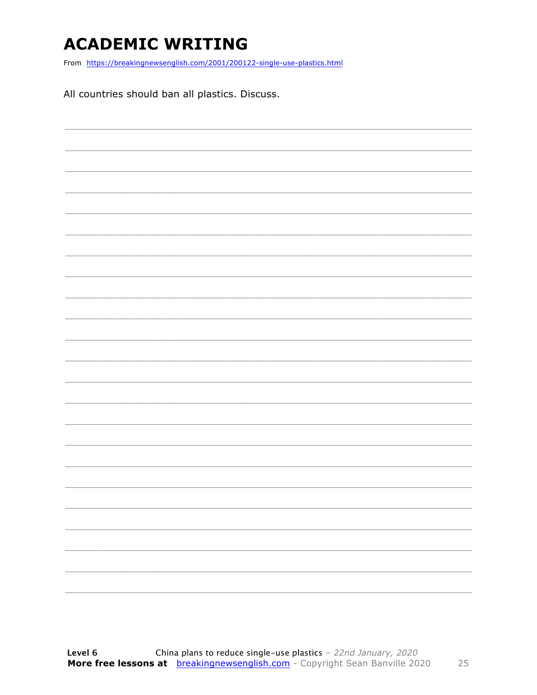### **ACADEMIC WRITING**

From https://breakingnewsenglish.com/2001/200122-single-use-plastics.html

All countries should ban all plastics. Discuss.

| $\overline{\phantom{a}}$ | $\frac{1}{2} \left( \frac{1}{2} \right) \left( \frac{1}{2} \right) \left( \frac{1}{2} \right) \left( \frac{1}{2} \right) \left( \frac{1}{2} \right) \left( \frac{1}{2} \right) \left( \frac{1}{2} \right) \left( \frac{1}{2} \right) \left( \frac{1}{2} \right) \left( \frac{1}{2} \right) \left( \frac{1}{2} \right) \left( \frac{1}{2} \right) \left( \frac{1}{2} \right) \left( \frac{1}{2} \right) \left( \frac{1}{2} \right) \left( \frac{1}{2} \right) \left( \frac$ |
|--------------------------|----------------------------------------------------------------------------------------------------------------------------------------------------------------------------------------------------------------------------------------------------------------------------------------------------------------------------------------------------------------------------------------------------------------------------------------------------------------------------|
|                          |                                                                                                                                                                                                                                                                                                                                                                                                                                                                            |
| $\overline{\phantom{0}}$ | $\overline{\phantom{a}}$                                                                                                                                                                                                                                                                                                                                                                                                                                                   |
|                          | ________                                                                                                                                                                                                                                                                                                                                                                                                                                                                   |
|                          |                                                                                                                                                                                                                                                                                                                                                                                                                                                                            |
|                          | _________                                                                                                                                                                                                                                                                                                                                                                                                                                                                  |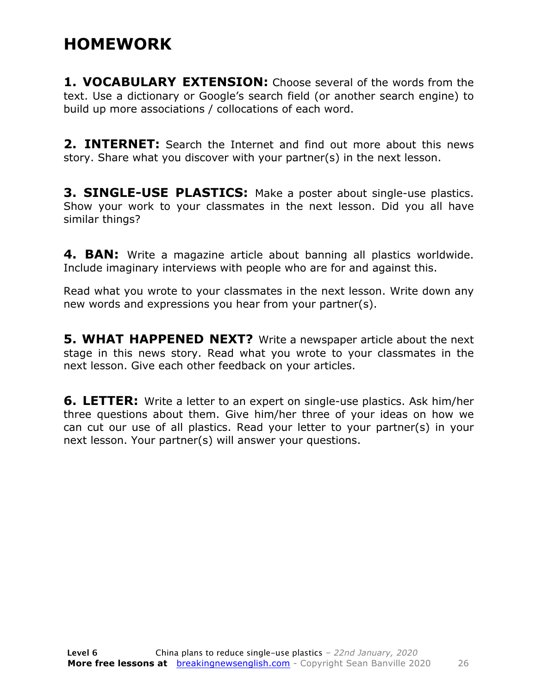### **HOMEWORK**

**1. VOCABULARY EXTENSION:** Choose several of the words from the text. Use a dictionary or Google's search field (or another search engine) to build up more associations / collocations of each word.

**2. INTERNET:** Search the Internet and find out more about this news story. Share what you discover with your partner(s) in the next lesson.

**3. SINGLE-USE PLASTICS:** Make a poster about single-use plastics. Show your work to your classmates in the next lesson. Did you all have similar things?

**4. BAN:** Write a magazine article about banning all plastics worldwide. Include imaginary interviews with people who are for and against this.

Read what you wrote to your classmates in the next lesson. Write down any new words and expressions you hear from your partner(s).

**5. WHAT HAPPENED NEXT?** Write a newspaper article about the next stage in this news story. Read what you wrote to your classmates in the next lesson. Give each other feedback on your articles.

**6. LETTER:** Write a letter to an expert on single-use plastics. Ask him/her three questions about them. Give him/her three of your ideas on how we can cut our use of all plastics. Read your letter to your partner(s) in your next lesson. Your partner(s) will answer your questions.